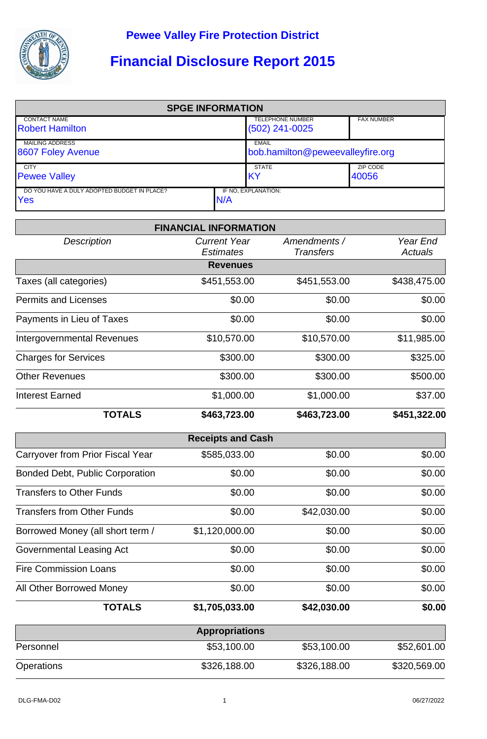

## **Financial Disclosure Report 2015**

| <b>SPGE INFORMATION</b>                                   |     |                                                  |                   |  |  |
|-----------------------------------------------------------|-----|--------------------------------------------------|-------------------|--|--|
| <b>CONTACT NAME</b><br><b>Robert Hamilton</b>             |     | <b>TELEPHONE NUMBER</b><br>$(502)$ 241-0025      | <b>FAX NUMBER</b> |  |  |
| <b>MAILING ADDRESS</b><br>8607 Foley Avenue               |     | <b>EMAIL</b><br>bob.hamilton@peweevalleyfire.org |                   |  |  |
| <b>CITY</b><br><b>Pewee Valley</b>                        |     | <b>STATE</b><br>IKY                              | ZIP CODE<br>40056 |  |  |
| DO YOU HAVE A DULY ADOPTED BUDGET IN PLACE?<br><b>Yes</b> | N/A | IF NO. EXPLANATION:                              |                   |  |  |

|                                        | <b>FINANCIAL INFORMATION</b>            |                                  |                            |
|----------------------------------------|-----------------------------------------|----------------------------------|----------------------------|
| <b>Description</b>                     | <b>Current Year</b><br><b>Estimates</b> | Amendments /<br><b>Transfers</b> | Year End<br><b>Actuals</b> |
|                                        | <b>Revenues</b>                         |                                  |                            |
| Taxes (all categories)                 | \$451,553.00                            | \$451,553.00                     | \$438,475.00               |
| <b>Permits and Licenses</b>            | \$0.00                                  | \$0.00                           | \$0.00                     |
| Payments in Lieu of Taxes              | \$0.00                                  | \$0.00                           | \$0.00                     |
| <b>Intergovernmental Revenues</b>      | \$10,570.00                             | \$10,570.00                      | \$11,985.00                |
| <b>Charges for Services</b>            | \$300.00                                | \$300.00                         | \$325.00                   |
| <b>Other Revenues</b>                  | \$300.00                                | \$300.00                         | \$500.00                   |
| <b>Interest Earned</b>                 | \$1,000.00                              | \$1,000.00                       | \$37.00                    |
| <b>TOTALS</b>                          | \$463,723.00                            | \$463,723.00                     | \$451,322.00               |
|                                        | <b>Receipts and Cash</b>                |                                  |                            |
| Carryover from Prior Fiscal Year       | \$585,033.00                            | \$0.00                           | \$0.00                     |
| <b>Bonded Debt, Public Corporation</b> | \$0.00                                  | \$0.00                           | \$0.00                     |
| <b>Transfers to Other Funds</b>        | \$0.00                                  | \$0.00                           | \$0.00                     |
| <b>Transfers from Other Funds</b>      | \$0.00                                  | \$42,030.00                      | \$0.00                     |
| Borrowed Money (all short term /       | \$1,120,000.00                          | \$0.00                           | \$0.00                     |
| <b>Governmental Leasing Act</b>        | \$0.00                                  | \$0.00                           | \$0.00                     |
| <b>Fire Commission Loans</b>           | \$0.00                                  | \$0.00                           | \$0.00                     |
| All Other Borrowed Money               | \$0.00                                  | \$0.00                           | \$0.00                     |
| <b>TOTALS</b>                          | \$1,705,033.00                          | \$42,030.00                      | \$0.00                     |
|                                        | <b>Appropriations</b>                   |                                  |                            |
| Personnel                              | \$53,100.00                             | \$53,100.00                      | \$52,601.00                |
| Operations                             | \$326,188.00                            | \$326,188.00                     | \$320,569.00               |